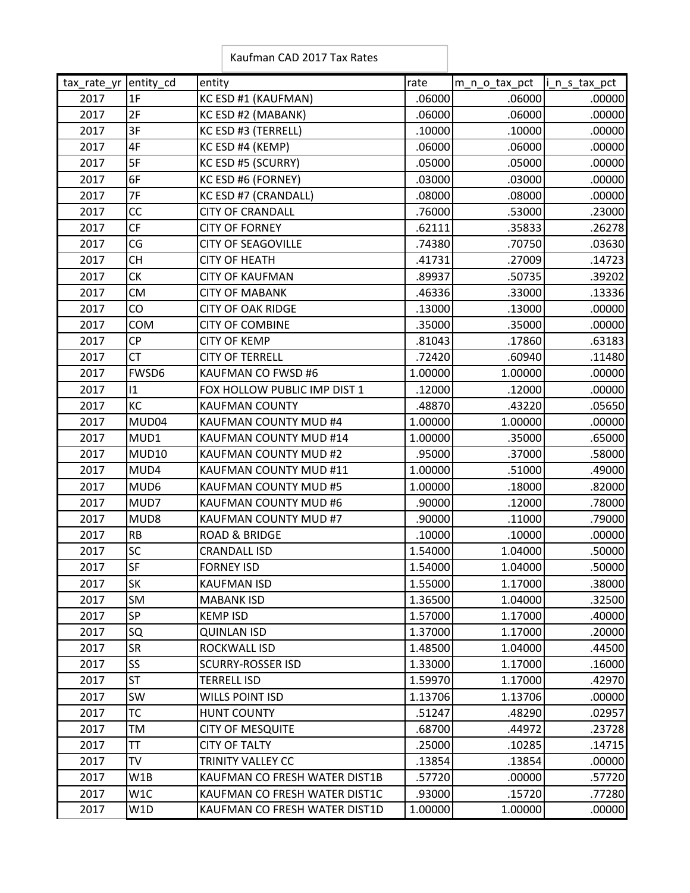|  |  | Kaufman CAD 2017 Tax Rates |
|--|--|----------------------------|
|--|--|----------------------------|

| tax rate yr entity cd |              | entity                        | rate    | m_n_o_tax_pct | i_n_s_tax_pct |
|-----------------------|--------------|-------------------------------|---------|---------------|---------------|
| 2017                  | 1F           | KC ESD #1 (KAUFMAN)           | .06000  | .06000        | .00000        |
| 2017                  | 2F           | KC ESD #2 (MABANK)            | .06000  | .06000        | .00000        |
| 2017                  | 3F           | KC ESD #3 (TERRELL)           | .10000  | .10000        | .00000        |
| 2017                  | 4F           | KC ESD #4 (KEMP)              | .06000  | .06000        | .00000        |
| 2017                  | 5F           | KC ESD #5 (SCURRY)            | .05000  | .05000        | .00000        |
| 2017                  | 6F           | KC ESD #6 (FORNEY)            | .03000  | .03000        | .00000        |
| 2017                  | 7F           | KC ESD #7 (CRANDALL)          | .08000  | .08000        | .00000        |
| 2017                  | CC           | <b>CITY OF CRANDALL</b>       | .76000  | .53000        | .23000        |
| 2017                  | <b>CF</b>    | <b>CITY OF FORNEY</b>         | .62111  | .35833        | .26278        |
| 2017                  | CG           | <b>CITY OF SEAGOVILLE</b>     | .74380  | .70750        | .03630        |
| 2017                  | <b>CH</b>    | <b>CITY OF HEATH</b>          | .41731  | .27009        | .14723        |
| 2017                  | <b>CK</b>    | <b>CITY OF KAUFMAN</b>        | .89937  | .50735        | .39202        |
| 2017                  | <b>CM</b>    | <b>CITY OF MABANK</b>         | .46336  | .33000        | .13336        |
| 2017                  | CO           | <b>CITY OF OAK RIDGE</b>      | .13000  | .13000        | .00000        |
| 2017                  | COM          | <b>CITY OF COMBINE</b>        | .35000  | .35000        | .00000        |
| 2017                  | <b>CP</b>    | <b>CITY OF KEMP</b>           | .81043  | .17860        | .63183        |
| 2017                  | <b>CT</b>    | <b>CITY OF TERRELL</b>        | .72420  | .60940        | .11480        |
| 2017                  | FWSD6        | KAUFMAN CO FWSD #6            | 1.00000 | 1.00000       | .00000        |
| 2017                  | 11           | FOX HOLLOW PUBLIC IMP DIST 1  | .12000  | .12000        | .00000        |
| 2017                  | KC           | <b>KAUFMAN COUNTY</b>         | .48870  | .43220        | .05650        |
| 2017                  | MUD04        | KAUFMAN COUNTY MUD #4         | 1.00000 | 1.00000       | .00000        |
| 2017                  | MUD1         | KAUFMAN COUNTY MUD #14        | 1.00000 | .35000        | .65000        |
| 2017                  | <b>MUD10</b> | KAUFMAN COUNTY MUD #2         | .95000  | .37000        | .58000        |
| 2017                  | MUD4         | KAUFMAN COUNTY MUD #11        | 1.00000 | .51000        | .49000        |
| 2017                  | MUD6         | KAUFMAN COUNTY MUD #5         | 1.00000 | .18000        | .82000        |
| 2017                  | MUD7         | KAUFMAN COUNTY MUD #6         | .90000  | .12000        | .78000        |
| 2017                  | MUD8         | KAUFMAN COUNTY MUD #7         | .90000  | .11000        | .79000        |
| 2017                  | RB           | <b>ROAD &amp; BRIDGE</b>      | .10000  | .10000        | .00000        |
| 2017                  | SC           | <b>CRANDALL ISD</b>           | 1.54000 | 1.04000       | .50000        |
| 2017                  | <b>SF</b>    | <b>FORNEY ISD</b>             | 1.54000 | 1.04000       | .50000        |
| 2017                  | <b>SK</b>    | <b>KAUFMAN ISD</b>            | 1.55000 | 1.17000       | .38000        |
| 2017                  | SM           | <b>MABANK ISD</b>             | 1.36500 | 1.04000       | .32500        |
| 2017                  | SP           | <b>KEMP ISD</b>               | 1.57000 | 1.17000       | .40000        |
| 2017                  | SQ           | <b>QUINLAN ISD</b>            | 1.37000 | 1.17000       | .20000        |
| 2017                  | <b>SR</b>    | ROCKWALL ISD                  | 1.48500 | 1.04000       | .44500        |
| 2017                  | SS           | <b>SCURRY-ROSSER ISD</b>      | 1.33000 | 1.17000       | .16000        |
| 2017                  | <b>ST</b>    | <b>TERRELL ISD</b>            | 1.59970 | 1.17000       | .42970        |
| 2017                  | SW           | <b>WILLS POINT ISD</b>        | 1.13706 | 1.13706       | .00000        |
| 2017                  | <b>TC</b>    | <b>HUNT COUNTY</b>            | .51247  | .48290        | .02957        |
| 2017                  | TM           | <b>CITY OF MESQUITE</b>       | .68700  | .44972        | .23728        |
| 2017                  | <b>TT</b>    | <b>CITY OF TALTY</b>          | .25000  | .10285        | .14715        |
| 2017                  | <b>TV</b>    | <b>TRINITY VALLEY CC</b>      | .13854  | .13854        | .00000        |
| 2017                  | W1B          | KAUFMAN CO FRESH WATER DIST1B | .57720  | .00000        | .57720        |
| 2017                  | W1C          | KAUFMAN CO FRESH WATER DIST1C | .93000  | .15720        | .77280        |
| 2017                  | W1D          | KAUFMAN CO FRESH WATER DIST1D | 1.00000 | 1.00000       | .00000        |